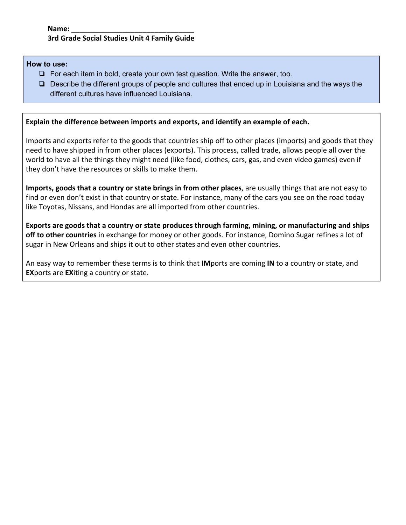#### **How to use:**

- ❏ For each item in bold, create your own test question. Write the answer, too.
- ❏ Describe the different groups of people and cultures that ended up in Louisiana and the ways the different cultures have influenced Louisiana.

# **Explain the difference between imports and exports, and identify an example of each.**

Imports and exports refer to the goods that countries ship off to other places (imports) and goods that they need to have shipped in from other places (exports). This process, called trade, allows people all over the world to have all the things they might need (like food, clothes, cars, gas, and even video games) even if they don't have the resources or skills to make them.

**Imports, goods that a country or state brings in from other places**, are usually things that are not easy to find or even don't exist in that country or state. For instance, many of the cars you see on the road today like Toyotas, Nissans, and Hondas are all imported from other countries.

**Exports are goods that a country or state produces through farming, mining, or manufacturing and ships off to other countries** in exchange for money or other goods. For instance, Domino Sugar refines a lot of sugar in New Orleans and ships it out to other states and even other countries.

An easy way to remember these terms is to think that **IM**ports are coming **IN** to a country or state, and **EX**ports are **EX**iting a country or state.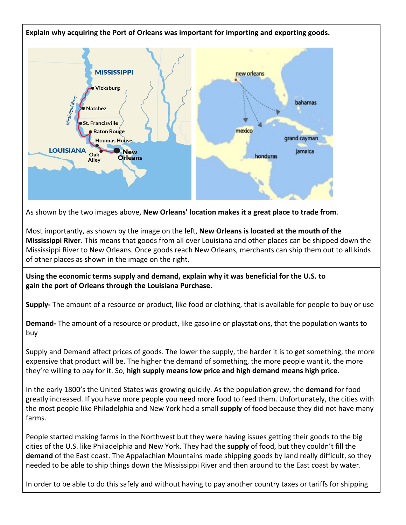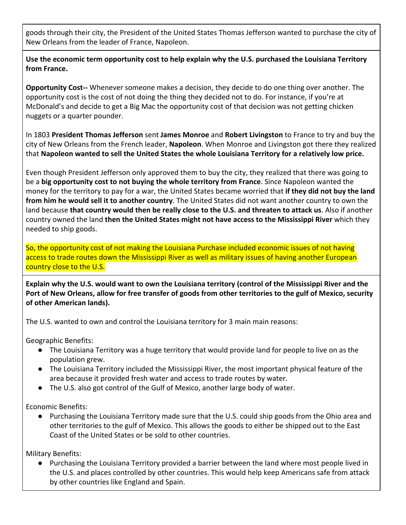goods through their city, the President of the United States Thomas Jefferson wanted to purchase the city of New Orleans from the leader of France, Napoleon.

**Use the economic term opportunity cost to help explain why the U.S. purchased the Louisiana Territory from France.**

**Opportunity Cost--** Whenever someone makes a decision, they decide to do one thing over another. The opportunity cost is the cost of not doing the thing they decided not to do. For instance, if you're at McDonald's and decide to get a Big Mac the opportunity cost of that decision was not getting chicken nuggets or a quarter pounder.

In 1803 **President Thomas Jefferson** sent **James Monroe** and **Robert Livingston** to France to try and buy the city of New Orleans from the French leader, **Napoleon**. When Monroe and Livingston got there they realized that **Napoleon wanted to sell the United States the whole Louisiana Territory for a relatively low price.**

Even though President Jefferson only approved them to buy the city, they realized that there was going to be a **big opportunity cost to not buying the whole territory from France**. Since Napoleon wanted the money for the territory to pay for a war, the United States became worried that **if they did not buy the land from him he would sell it to another country**. The United States did not want another country to own the land because **that country would then be really close to the U.S. and threaten to attack us**. Also if another country owned the land **then the United States might not have access to the Mississippi River** which they needed to ship goods.

So, the opportunity cost of not making the Louisiana Purchase included economic issues of not having access to trade routes down the Mississippi River as well as military issues of having another European country close to the U.S.

**Explain why the U.S. would want to own the Louisiana territory (control of the Mississippi River and the Port of New Orleans, allow for free transfer of goods from other territories to the gulf of Mexico, security of other American lands).**

The U.S. wanted to own and control the Louisiana territory for 3 main main reasons:

Geographic Benefits:

- The Louisiana Territory was a huge territory that would provide land for people to live on as the population grew.
- The Louisiana Territory included the Mississippi River, the most important physical feature of the area because it provided fresh water and access to trade routes by water.
- The U.S. also got control of the Gulf of Mexico, another large body of water.

Economic Benefits:

● Purchasing the Louisiana Territory made sure that the U.S. could ship goods from the Ohio area and other territories to the gulf of Mexico. This allows the goods to either be shipped out to the East Coast of the United States or be sold to other countries.

Military Benefits:

● Purchasing the Louisiana Territory provided a barrier between the land where most people lived in the U.S. and places controlled by other countries. This would help keep Americans safe from attack by other countries like England and Spain.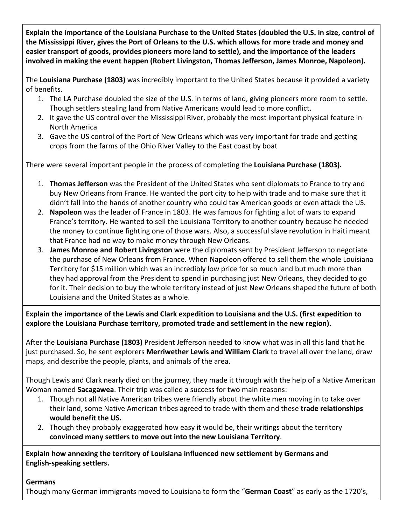**Explain the importance of the Louisiana Purchase to the United States (doubled the U.S. in size, control of the Mississippi River, gives the Port of Orleans to the U.S. which allows for more trade and money and easier transport of goods, provides pioneers more land to settle), and the importance of the leaders involved in making the event happen (Robert Livingston, Thomas Jefferson, James Monroe, Napoleon).**

The **Louisiana Purchase (1803)** was incredibly important to the United States because it provided a variety of benefits.

- 1. The LA Purchase doubled the size of the U.S. in terms of land, giving pioneers more room to settle. Though settlers stealing land from Native Americans would lead to more conflict.
- 2. It gave the US control over the Mississippi River, probably the most important physical feature in North America
- 3. Gave the US control of the Port of New Orleans which was very important for trade and getting crops from the farms of the Ohio River Valley to the East coast by boat

There were several important people in the process of completing the **Louisiana Purchase (1803).**

- 1. **Thomas Jefferson** was the President of the United States who sent diplomats to France to try and buy New Orleans from France. He wanted the port city to help with trade and to make sure that it didn't fall into the hands of another country who could tax American goods or even attack the US.
- 2. **Napoleon** was the leader of France in 1803. He was famous for fighting a lot of wars to expand France's territory. He wanted to sell the Louisiana Territory to another country because he needed the money to continue fighting one of those wars. Also, a successful slave revolution in Haiti meant that France had no way to make money through New Orleans.
- 3. **James Monroe and Robert Livingston** were the diplomats sent by President Jefferson to negotiate the purchase of New Orleans from France. When Napoleon offered to sell them the whole Louisiana Territory for \$15 million which was an incredibly low price for so much land but much more than they had approval from the President to spend in purchasing just New Orleans, they decided to go for it. Their decision to buy the whole territory instead of just New Orleans shaped the future of both Louisiana and the United States as a whole.

**Explain the importance of the Lewis and Clark expedition to Louisiana and the U.S. (first expedition to explore the Louisiana Purchase territory, promoted trade and settlement in the new region).**

After the **Louisiana Purchase (1803)** President Jefferson needed to know what was in all this land that he just purchased. So, he sent explorers **Merriwether Lewis and William Clark** to travel all over the land, draw maps, and describe the people, plants, and animals of the area.

Though Lewis and Clark nearly died on the journey, they made it through with the help of a Native American Woman named **Sacagawea**. Their trip was called a success for two main reasons:

- 1. Though not all Native American tribes were friendly about the white men moving in to take over their land, some Native American tribes agreed to trade with them and these **trade relationships would benefit the US.**
- 2. Though they probably exaggerated how easy it would be, their writings about the territory **convinced many settlers to move out into the new Louisiana Territory**.

**Explain how annexing the territory of Louisiana influenced new settlement by Germans and English-speaking settlers.**

# **Germans**

Though many German immigrants moved to Louisiana to form the "**German Coast**" as early as the 1720's,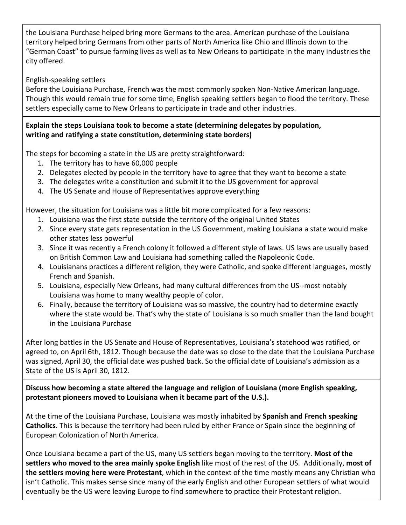the Louisiana Purchase helped bring more Germans to the area. American purchase of the Louisiana territory helped bring Germans from other parts of North America like Ohio and Illinois down to the "German Coast" to pursue farming lives as well as to New Orleans to participate in the many industries the city offered.

# English-speaking settlers

Before the Louisiana Purchase, French was the most commonly spoken Non-Native American language. Though this would remain true for some time, English speaking settlers began to flood the territory. These settlers especially came to New Orleans to participate in trade and other industries.

#### **Explain the steps Louisiana took to become a state (determining delegates by population, writing and ratifying a state constitution, determining state borders)**

The steps for becoming a state in the US are pretty straightforward:

- 1. The territory has to have 60,000 people
- 2. Delegates elected by people in the territory have to agree that they want to become a state
- 3. The delegates write a constitution and submit it to the US government for approval
- 4. The US Senate and House of Representatives approve everything

However, the situation for Louisiana was a little bit more complicated for a few reasons:

- 1. Louisiana was the first state outside the territory of the original United States
- 2. Since every state gets representation in the US Government, making Louisiana a state would make other states less powerful
- 3. Since it was recently a French colony it followed a different style of laws. US laws are usually based on British Common Law and Louisiana had something called the Napoleonic Code.
- 4. Louisianans practices a different religion, they were Catholic, and spoke different languages, mostly French and Spanish.
- 5. Louisiana, especially New Orleans, had many cultural differences from the US--most notably Louisiana was home to many wealthy people of color.
- 6. Finally, because the territory of Louisiana was so massive, the country had to determine exactly where the state would be. That's why the state of Louisiana is so much smaller than the land bought in the Louisiana Purchase

After long battles in the US Senate and House of Representatives, Louisiana's statehood was ratified, or agreed to, on April 6th, 1812. Though because the date was so close to the date that the Louisiana Purchase was signed, April 30, the official date was pushed back. So the official date of Louisiana's admission as a State of the US is April 30, 1812.

**Discuss how becoming a state altered the language and religion of Louisiana (more English speaking, protestant pioneers moved to Louisiana when it became part of the U.S.).**

At the time of the Louisiana Purchase, Louisiana was mostly inhabited by **Spanish and French speaking Catholics**. This is because the territory had been ruled by either France or Spain since the beginning of European Colonization of North America.

Once Louisiana became a part of the US, many US settlers began moving to the territory. **Most of the settlers who moved to the area mainly spoke English** like most of the rest of the US. Additionally, **most of the settlers moving here were Protestant**, which in the context of the time mostly means any Christian who isn't Catholic. This makes sense since many of the early English and other European settlers of what would eventually be the US were leaving Europe to find somewhere to practice their Protestant religion.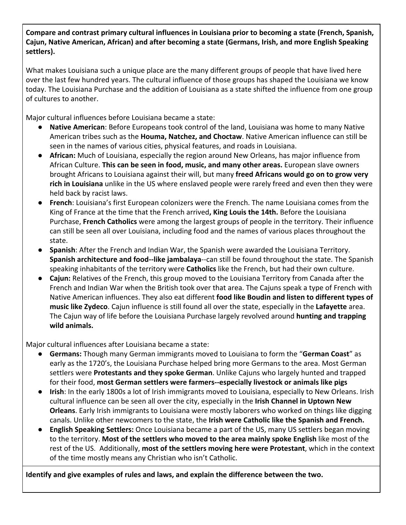**Compare and contrast primary cultural influences in Louisiana prior to becoming a state (French, Spanish, Cajun, Native American, African) and after becoming a state (Germans, Irish, and more English Speaking settlers).**

What makes Louisiana such a unique place are the many different groups of people that have lived here over the last few hundred years. The cultural influence of those groups has shaped the Louisiana we know today. The Louisiana Purchase and the addition of Louisiana as a state shifted the influence from one group of cultures to another.

Major cultural influences before Louisiana became a state:

- **Native American**: Before Europeans took control of the land, Louisiana was home to many Native American tribes such as the **Houma, Natchez, and Choctaw**. Native American influence can still be seen in the names of various cities, physical features, and roads in Louisiana.
- **African:** Much of Louisiana, especially the region around New Orleans, has major influence from African Culture. **This can be seen in food, music, and many other areas.** European slave owners brought Africans to Louisiana against their will, but many **freed Africans would go on to grow very rich in Louisiana** unlike in the US where enslaved people were rarely freed and even then they were held back by racist laws.
- **French**: Louisiana's first European colonizers were the French. The name Louisiana comes from the King of France at the time that the French arrived**, King Louis the 14th.** Before the Louisiana Purchase, **French Catholics** were among the largest groups of people in the territory. Their influence can still be seen all over Louisiana, including food and the names of various places throughout the state.
- **Spanish**: After the French and Indian War, the Spanish were awarded the Louisiana Territory. **Spanish architecture and food--like jambalaya**--can still be found throughout the state. The Spanish speaking inhabitants of the territory were **Catholics** like the French, but had their own culture.
- **Cajun:** Relatives of the French, this group moved to the Louisiana Territory from Canada after the French and Indian War when the British took over that area. The Cajuns speak a type of French with Native American influences. They also eat different **food like Boudin and listen to different types of music like Zydeco**. Cajun influence is still found all over the state, especially in the **Lafayette** area. The Cajun way of life before the Louisiana Purchase largely revolved around **hunting and trapping wild animals.**

Major cultural influences after Louisiana became a state:

- **Germans:** Though many German immigrants moved to Louisiana to form the "**German Coast**" as early as the 1720's, the Louisiana Purchase helped bring more Germans to the area. Most German settlers were **Protestants and they spoke German**. Unlike Cajuns who largely hunted and trapped for their food, **most German settlers were farmers--especially livestock or animals like pigs**
- **Irish**: In the early 1800s a lot of Irish immigrants moved to Louisiana, especially to New Orleans. Irish cultural influence can be seen all over the city, especially in the **Irish Channel in Uptown New Orleans**. Early Irish immigrants to Louisiana were mostly laborers who worked on things like digging canals. Unlike other newcomers to the state, the **Irish were Catholic like the Spanish and French.**
- **● English Speaking Settlers:** Once Louisiana became a part of the US, many US settlers began moving to the territory. **Most of the settlers who moved to the area mainly spoke English** like most of the rest of the US. Additionally, **most of the settlers moving here were Protestant**, which in the context of the time mostly means any Christian who isn't Catholic.

**Identify and give examples of rules and laws, and explain the difference between the two.**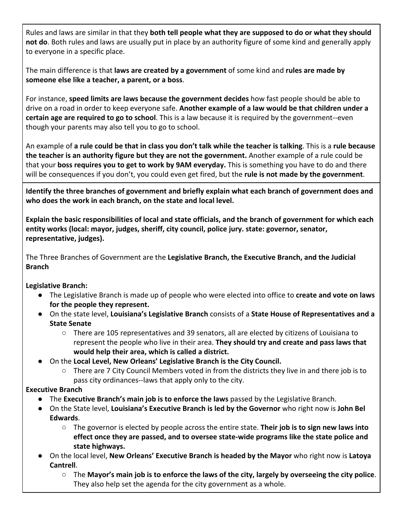Rules and laws are similar in that they **both tell people what they are supposed to do or what they should not do**. Both rules and laws are usually put in place by an authority figure of some kind and generally apply to everyone in a specific place.

The main difference is that **laws are created by a government** of some kind and **rules are made by someone else like a teacher, a parent, or a boss**.

For instance, **speed limits are laws because the government decides** how fast people should be able to drive on a road in order to keep everyone safe. **Another example of a law would be that children under a certain age are required to go to school**. This is a law because it is required by the government--even though your parents may also tell you to go to school.

An example of **a rule could be that in class you don't talk while the teacher is talking**. This is a **rule because the teacher is an authority figure but they are not the government.** Another example of a rule could be that your **boss requires you to get to work by 9AM everyday.** This is something you have to do and there will be consequences if you don't, you could even get fired, but the **rule is not made by the government**.

**Identify the three branches of government and briefly explain what each branch of government does and who does the work in each branch, on the state and local level.**

**Explain the basic responsibilities of local and state officials, and the branch of government for which each entity works (local: mayor, judges, sheriff, city council, police jury. state: governor, senator, representative, judges).**

The Three Branches of Government are the **Legislative Branch, the Executive Branch, and the Judicial Branch**

# **Legislative Branch:**

- The Legislative Branch is made up of people who were elected into office to **create and vote on laws for the people they represent.**
- On the state level, **Louisiana's Legislative Branch** consists of a **State House of Representatives and a State Senate**
	- There are 105 representatives and 39 senators, all are elected by citizens of Louisiana to represent the people who live in their area. **They should try and create and pass laws that would help their area, which is called a district.**
- On the **Local Level, New Orleans' Legislative Branch is the City Council.**
	- $\circ$  There are 7 City Council Members voted in from the districts they live in and there job is to pass city ordinances--laws that apply only to the city.

# **Executive Branch**

- The **Executive Branch's main job is to enforce the laws** passed by the Legislative Branch.
- On the State level, **Louisiana's Executive Branch is led by the Governor** who right now is **John Bel Edwards**.
	- The governor is elected by people across the entire state. **Their job is to sign new laws into effect once they are passed, and to oversee state-wide programs like the state police and state highways.**
- On the local level, **New Orleans' Executive Branch is headed by the Mayor** who right now is **Latoya Cantrell**.
	- The **Mayor's main job is to enforce the laws of the city, largely by overseeing the city police**. They also help set the agenda for the city government as a whole.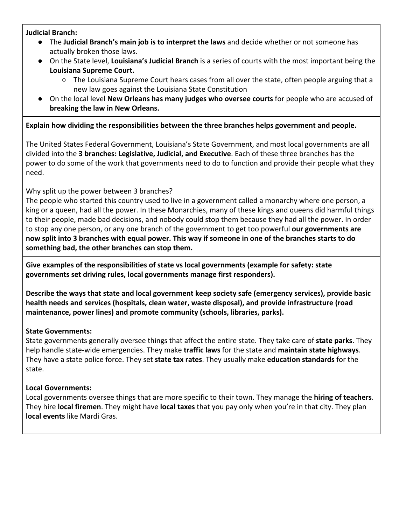#### **Judicial Branch:**

- The **Judicial Branch's main job is to interpret the laws** and decide whether or not someone has actually broken those laws.
- On the State level, **Louisiana's Judicial Branch** is a series of courts with the most important being the **Louisiana Supreme Court.**
	- $\circ$  The Louisiana Supreme Court hears cases from all over the state, often people arguing that a new law goes against the Louisiana State Constitution
- On the local level **New Orleans has many judges who oversee courts** for people who are accused of **breaking the law in New Orleans.**

# **Explain how dividing the responsibilities between the three branches helps government and people.**

The United States Federal Government, Louisiana's State Government, and most local governments are all divided into the **3 branches: Legislative, Judicial, and Executive**. Each of these three branches has the power to do some of the work that governments need to do to function and provide their people what they need.

# Why split up the power between 3 branches?

The people who started this country used to live in a government called a monarchy where one person, a king or a queen, had all the power. In these Monarchies, many of these kings and queens did harmful things to their people, made bad decisions, and nobody could stop them because they had all the power. In order to stop any one person, or any one branch of the government to get too powerful **our governments are now split into 3 branches with equal power. This way if someone in one of the branches starts to do something bad, the other branches can stop them.**

**Give examples of the responsibilities of state vs local governments (example for safety: state governments set driving rules, local governments manage first responders).**

**Describe the ways that state and local government keep society safe (emergency services), provide basic health needs and services (hospitals, clean water, waste disposal), and provide infrastructure (road maintenance, power lines) and promote community (schools, libraries, parks).**

# **State Governments:**

State governments generally oversee things that affect the entire state. They take care of **state parks**. They help handle state-wide emergencies. They make **traffic laws** for the state and **maintain state highways**. They have a state police force. They set **state tax rates**. They usually make **education standards** for the state.

# **Local Governments:**

Local governments oversee things that are more specific to their town. They manage the **hiring of teachers**. They hire **local firemen**. They might have **local taxes** that you pay only when you're in that city. They plan **local events** like Mardi Gras.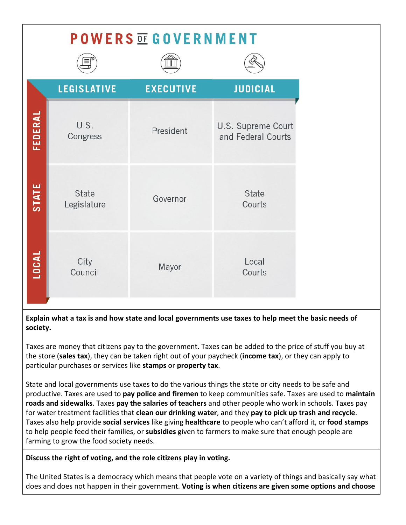# **POWERS OF GOVERNMENT**

|         | <b>LEGISLATIVE</b>   | <b>EXECUTIVE</b> | <b>JUDICIAL</b>                          |
|---------|----------------------|------------------|------------------------------------------|
| FEDERAL | U.S.<br>Congress     | President        | U.S. Supreme Court<br>and Federal Courts |
| STATE   | State<br>Legislature | Governor         | State<br>Courts                          |
| LOCAL   | City<br>Council      | Mayor            | Local<br>Courts                          |

**Explain what a tax is and how state and local governments use taxes to help meet the basic needs of society.**

Taxes are money that citizens pay to the government. Taxes can be added to the price of stuff you buy at the store (**sales tax**), they can be taken right out of your paycheck (**income tax**), or they can apply to particular purchases or services like **stamps** or **property tax**.

State and local governments use taxes to do the various things the state or city needs to be safe and productive. Taxes are used to **pay police and firemen** to keep communities safe. Taxes are used to **maintain roads and sidewalks**. Taxes **pay the salaries of teachers** and other people who work in schools. Taxes pay for water treatment facilities that **clean our drinking water**, and they **pay to pick up trash and recycle**. Taxes also help provide **social services** like giving **healthcare** to people who can't afford it, or **food stamps** to help people feed their families, or **subsidies** given to farmers to make sure that enough people are farming to grow the food society needs.

**Discuss the right of voting, and the role citizens play in voting.**

The United States is a democracy which means that people vote on a variety of things and basically say what does and does not happen in their government. **Voting is when citizens are given some options and choose**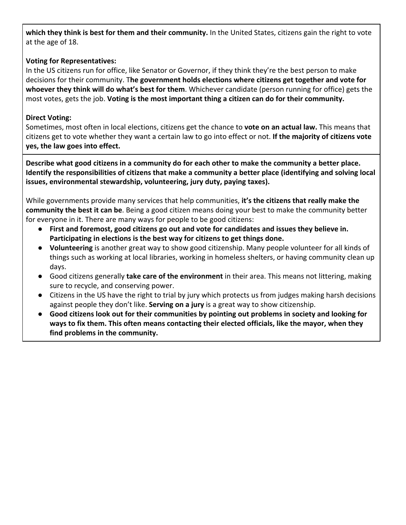**which they think is best for them and their community.** In the United States, citizens gain the right to vote at the age of 18.

# **Voting for Representatives:**

In the US citizens run for office, like Senator or Governor, if they think they're the best person to make decisions for their community. T**he government holds elections where citizens get together and vote for whoever they think will do what's best for them**. Whichever candidate (person running for office) gets the most votes, gets the job. **Voting is the most important thing a citizen can do for their community.**

# **Direct Voting:**

Sometimes, most often in local elections, citizens get the chance to **vote on an actual law.** This means that citizens get to vote whether they want a certain law to go into effect or not. **If the majority of citizens vote yes, the law goes into effect.**

**Describe what good citizens in a community do for each other to make the community a better place. Identify the responsibilities of citizens that make a community a better place (identifying and solving local issues, environmental stewardship, volunteering, jury duty, paying taxes).**

While governments provide many services that help communities, **it's the citizens that really make the community the best it can be**. Being a good citizen means doing your best to make the community better for everyone in it. There are many ways for people to be good citizens:

- **● First and foremost, good citizens go out and vote for candidates and issues they believe in. Participating in elections is the best way for citizens to get things done.**
- **Volunteering** is another great way to show good citizenship. Many people volunteer for all kinds of things such as working at local libraries, working in homeless shelters, or having community clean up days.
- Good citizens generally **take care of the environment** in their area. This means not littering, making sure to recycle, and conserving power.
- Citizens in the US have the right to trial by jury which protects us from judges making harsh decisions against people they don't like. **Serving on a jury** is a great way to show citizenship.
- **● Good citizens look out for their communities by pointing out problems in society and looking for ways to fix them. This often means contacting their elected officials, like the mayor, when they find problems in the community.**